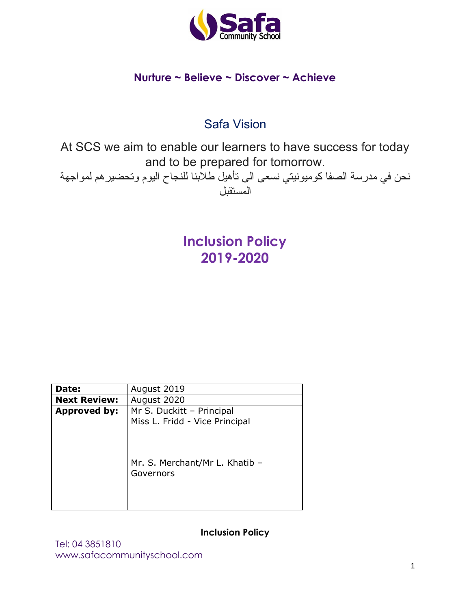

## **Nurture ~ Believe ~ Discover ~ Achieve**

# Safa Vision

At SCS we aim to enable our learners to have success for today and to be prepared for tomorrow.

نحن في مدرسة الصفا كومیونیتي نسعى الى تأهیل طلابنا للنجاح الیوم وتحضیرهم لمواجهة المستقبل

> **Inclusion Policy 2019-2020**

| Date:               | August 2019                    |
|---------------------|--------------------------------|
| <b>Next Review:</b> | August 2020                    |
| Approved by:        | Mr S. Duckitt - Principal      |
|                     | Miss L. Fridd - Vice Principal |
|                     |                                |
|                     |                                |
|                     |                                |
|                     | Mr. S. Merchant/Mr L. Khatib - |
|                     | Governors                      |
|                     |                                |
|                     |                                |
|                     |                                |

**Inclusion Policy**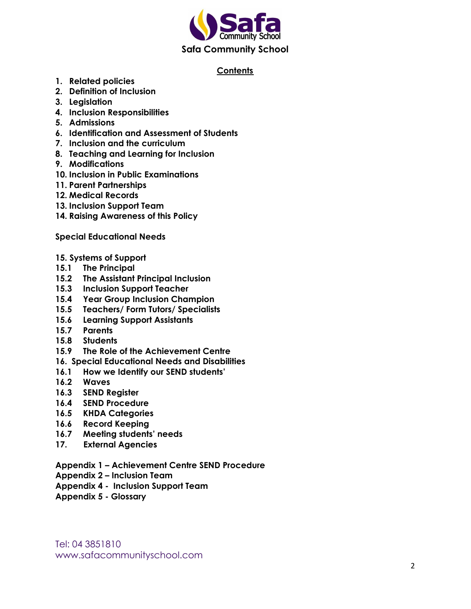

#### **Contents**

- **1. Related policies**
- **2. Definition of Inclusion**
- **3. Legislation**
- **4. Inclusion Responsibilities**
- **5. Admissions**
- **6. Identification and Assessment of Students**
- **7. Inclusion and the curriculum**
- **8. Teaching and Learning for Inclusion**
- **9. Modifications**
- **10. Inclusion in Public Examinations**
- **11. Parent Partnerships**
- **12. Medical Records**
- **13. Inclusion Support Team**
- **14. Raising Awareness of this Policy**

**Special Educational Needs**

- **15. Systems of Support**
- **15.1 The Principal**
- **15.2 The Assistant Principal Inclusion**
- **15.3 Inclusion Support Teacher**
- **15.4 Year Group Inclusion Champion**
- **15.5 Teachers/ Form Tutors/ Specialists**
- **15.6 Learning Support Assistants**
- **15.7 Parents**
- **15.8 Students**
- **15.9 The Role of the Achievement Centre**
- **16. Special Educational Needs and Disabilities**
- **16.1 How we Identify our SEND students'**
- **16.2 Waves**
- **16.3 SEND Register**
- **16.4 SEND Procedure**
- **16.5 KHDA Categories**
- **16.6 Record Keeping**
- **16.7 Meeting students' needs**
- **17. External Agencies**
- **Appendix 1 – Achievement Centre SEND Procedure**
- **Appendix 2 – Inclusion Team**
- **Appendix 4 - Inclusion Support Team**
- **Appendix 5 - Glossary**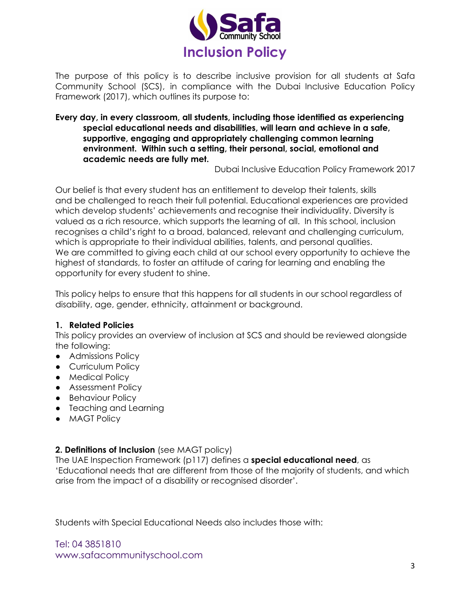

The purpose of this policy is to describe inclusive provision for all students at Safa Community School (SCS), in compliance with the Dubai Inclusive Education Policy Framework (2017), which outlines its purpose to:

#### **Every day, in every classroom, all students, including those identified as experiencing special educational needs and disabilities, will learn and achieve in a safe, supportive, engaging and appropriately challenging common learning environment. Within such a setting, their personal, social, emotional and academic needs are fully met.**

Dubai Inclusive Education Policy Framework 2017

Our belief is that every student has an entitlement to develop their talents, skills and be challenged to reach their full potential. Educational experiences are provided which develop students' achievements and recognise their individuality. Diversity is valued as a rich resource, which supports the learning of all. In this school, inclusion recognises a child's right to a broad, balanced, relevant and challenging curriculum, which is appropriate to their individual abilities, talents, and personal qualities. We are committed to giving each child at our school every opportunity to achieve the highest of standards, to foster an attitude of caring for learning and enabling the opportunity for every student to shine.

This policy helps to ensure that this happens for all students in our school regardless of disability, age, gender, ethnicity, attainment or background.

#### **1. Related Policies**

This policy provides an overview of inclusion at SCS and should be reviewed alongside the following:

- Admissions Policy
- Curriculum Policy
- Medical Policy
- Assessment Policy
- Behaviour Policy
- Teaching and Learning
- **MAGT Policy**

#### **2. Definitions of Inclusion** (see MAGT policy)

The UAE Inspection Framework (p117) defines a **special educational need**, as 'Educational needs that are different from those of the majority of students, and which arise from the impact of a disability or recognised disorder'.

Students with Special Educational Needs also includes those with: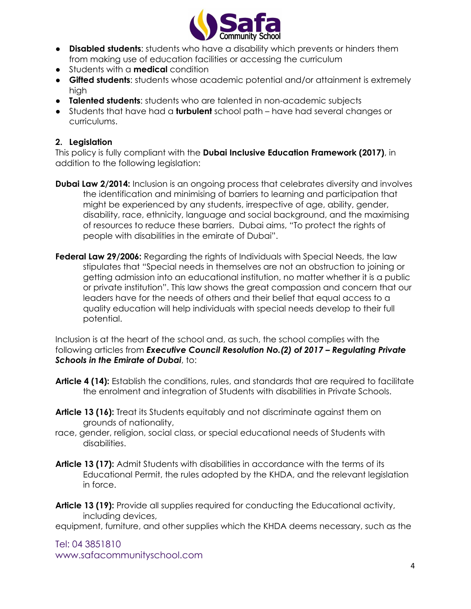

- **Disabled students**: students who have a disability which prevents or hinders them from making use of education facilities or accessing the curriculum
- Students with a **medical** condition
- **Gifted students**: students whose academic potential and/or attainment is extremely high
- **Talented students**: students who are talented in non-academic subjects
- Students that have had a **turbulent** school path have had several changes or curriculums.

## **2. Legislation**

This policy is fully compliant with the **Dubai Inclusive Education Framework (2017)**, in addition to the following legislation:

- **Dubai Law 2/2014:** Inclusion is an ongoing process that celebrates diversity and involves the identification and minimising of barriers to learning and participation that might be experienced by any students, irrespective of age, ability, gender, disability, race, ethnicity, language and social background, and the maximising of resources to reduce these barriers. Dubai aims, "To protect the rights of people with disabilities in the emirate of Dubai".
- **Federal Law 29/2006:** Regarding the rights of Individuals with Special Needs, the law stipulates that "Special needs in themselves are not an obstruction to joining or getting admission into an educational institution, no matter whether it is a public or private institution". This law shows the great compassion and concern that our leaders have for the needs of others and their belief that equal access to a quality education will help individuals with special needs develop to their full potential.

Inclusion is at the heart of the school and, as such, the school complies with the following articles from *Executive Council Resolution No.(2) of 2017 – Regulating Private Schools in the Emirate of Dubai*, to:

- **Article 4 (14):** Establish the conditions, rules, and standards that are required to facilitate the enrolment and integration of Students with disabilities in Private Schools.
- **Article 13 (16):** Treat its Students equitably and not discriminate against them on grounds of nationality,
- race, gender, religion, social class, or special educational needs of Students with disabilities.
- **Article 13 (17):** Admit Students with disabilities in accordance with the terms of its Educational Permit, the rules adopted by the KHDA, and the relevant legislation in force.
- **Article 13 (19):** Provide all supplies required for conducting the Educational activity, including devices,

equipment, furniture, and other supplies which the KHDA deems necessary, such as the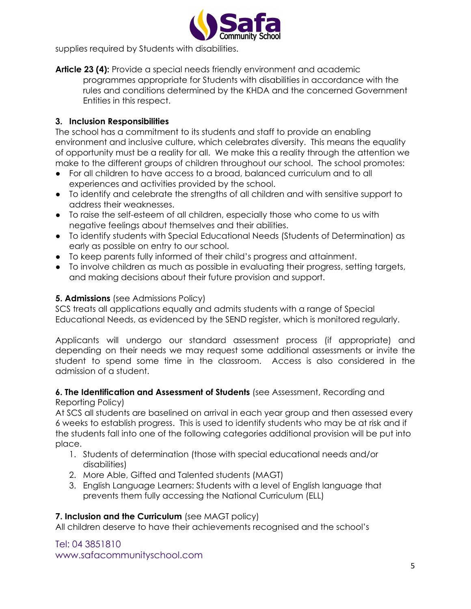

supplies required by Students with disabilities.

**Article 23 (4):** Provide a special needs friendly environment and academic programmes appropriate for Students with disabilities in accordance with the rules and conditions determined by the KHDA and the concerned Government Entities in this respect.

#### **3. Inclusion Responsibilities**

The school has a commitment to its students and staff to provide an enabling environment and inclusive culture, which celebrates diversity. This means the equality of opportunity must be a reality for all. We make this a reality through the attention we make to the different groups of children throughout our school. The school promotes:

- For all children to have access to a broad, balanced curriculum and to all experiences and activities provided by the school.
- To identify and celebrate the strengths of all children and with sensitive support to address their weaknesses.
- To raise the self-esteem of all children, especially those who come to us with negative feelings about themselves and their abilities.
- To identify students with Special Educational Needs (Students of Determination) as early as possible on entry to our school.
- To keep parents fully informed of their child's progress and attainment.
- To involve children as much as possible in evaluating their progress, setting targets, and making decisions about their future provision and support.

#### **5. Admissions** (see Admissions Policy)

SCS treats all applications equally and admits students with a range of Special Educational Needs, as evidenced by the SEND register, which is monitored regularly.

Applicants will undergo our standard assessment process (if appropriate) and depending on their needs we may request some additional assessments or invite the student to spend some time in the classroom. Access is also considered in the admission of a student.

#### **6. The Identification and Assessment of Students** (see Assessment, Recording and Reporting Policy)

At SCS all students are baselined on arrival in each year group and then assessed every 6 weeks to establish progress. This is used to identify students who may be at risk and if the students fall into one of the following categories additional provision will be put into place.

- 1. Students of determination (those with special educational needs and/or disabilities)
- 2. More Able, Gifted and Talented students (MAGT)
- 3. English Language Learners: Students with a level of English language that prevents them fully accessing the National Curriculum (ELL)

#### **7. Inclusion and the Curriculum** (see MAGT policy)

All children deserve to have their achievements recognised and the school's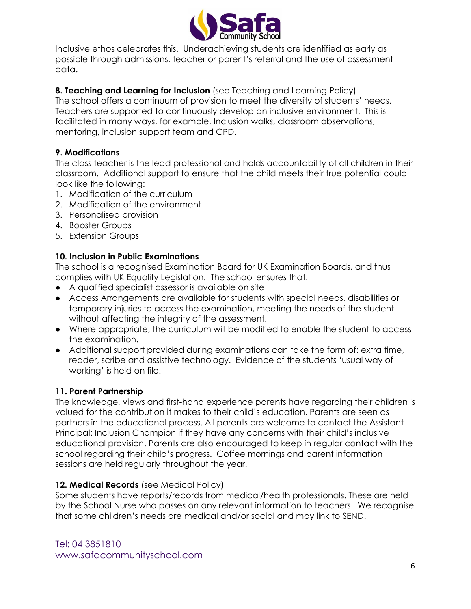

Inclusive ethos celebrates this. Underachieving students are identified as early as possible through admissions, teacher or parent's referral and the use of assessment data.

## **8. Teaching and Learning for Inclusion** (see Teaching and Learning Policy)

The school offers a continuum of provision to meet the diversity of students' needs. Teachers are supported to continuously develop an inclusive environment. This is facilitated in many ways, for example, Inclusion walks, classroom observations, mentoring, inclusion support team and CPD.

## **9. Modifications**

The class teacher is the lead professional and holds accountability of all children in their classroom. Additional support to ensure that the child meets their true potential could look like the following:

- 1. Modification of the curriculum
- 2. Modification of the environment
- 3. Personalised provision
- 4. Booster Groups
- 5. Extension Groups

## **10. Inclusion in Public Examinations**

The school is a recognised Examination Board for UK Examination Boards, and thus complies with UK Equality Legislation. The school ensures that:

- A qualified specialist assessor is available on site
- **●** Access Arrangements are available for students with special needs, disabilities or temporary injuries to access the examination, meeting the needs of the student without affecting the integrity of the assessment.
- Where appropriate, the curriculum will be modified to enable the student to access the examination.
- Additional support provided during examinations can take the form of: extra time, reader, scribe and assistive technology. Evidence of the students 'usual way of working' is held on file.

## **11. Parent Partnership**

The knowledge, views and first-hand experience parents have regarding their children is valued for the contribution it makes to their child's education. Parents are seen as partners in the educational process. All parents are welcome to contact the Assistant Principal: Inclusion Champion if they have any concerns with their child's inclusive educational provision. Parents are also encouraged to keep in regular contact with the school regarding their child's progress. Coffee mornings and parent information sessions are held regularly throughout the year.

## **12. Medical Records** (see Medical Policy)

Some students have reports/records from medical/health professionals. These are held by the School Nurse who passes on any relevant information to teachers. We recognise that some children's needs are medical and/or social and may link to SEND.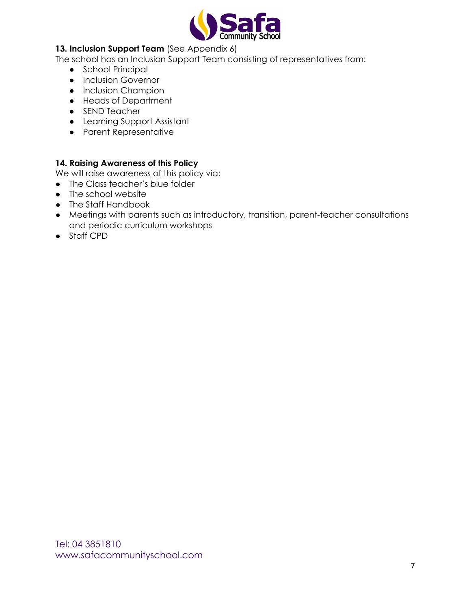

#### **13. Inclusion Support Team** (See Appendix 6)

The school has an Inclusion Support Team consisting of representatives from:

- School Principal
- Inclusion Governor
- Inclusion Champion
- Heads of Department
- SEND Teacher
- Learning Support Assistant
- Parent Representative

#### **14. Raising Awareness of this Policy**

We will raise awareness of this policy via:

- The Class teacher's blue folder
- The school website
- The Staff Handbook
- Meetings with parents such as introductory, transition, parent-teacher consultations and periodic curriculum workshops
- Staff CPD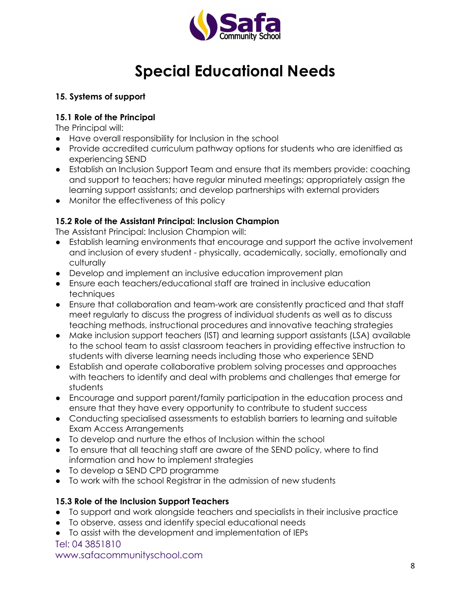

# **Special Educational Needs**

#### **15. Systems of support**

#### **15.1 Role of the Principal**

The Principal will:

- Have overall responsibility for Inclusion in the school
- Provide accredited curriculum pathway options for students who are idenitfied as experiencing SEND
- Establish an Inclusion Support Team and ensure that its members provide: coaching and support to teachers; have regular minuted meetings; appropriately assign the learning support assistants; and develop partnerships with external providers
- Monitor the effectiveness of this policy

## **15.2 Role of the Assistant Principal: Inclusion Champion**

The Assistant Principal: Inclusion Champion will:

- Establish learning environments that encourage and support the active involvement and inclusion of every student - physically, academically, socially, emotionally and culturally
- Develop and implement an inclusive education improvement plan
- Ensure each teachers/educational staff are trained in inclusive education techniques
- Ensure that collaboration and team-work are consistently practiced and that staff meet regularly to discuss the progress of individual students as well as to discuss teaching methods, instructional procedures and innovative teaching strategies
- Make inclusion support teachers (IST) and learning support assistants (LSA) available to the school team to assist classroom teachers in providing effective instruction to students with diverse learning needs including those who experience SEND
- Establish and operate collaborative problem solving processes and approaches with teachers to identify and deal with problems and challenges that emerge for students
- Encourage and support parent/family participation in the education process and ensure that they have every opportunity to contribute to student success
- Conducting specialised assessments to establish barriers to learning and suitable Exam Access Arrangements
- To develop and nurture the ethos of Inclusion within the school
- To ensure that all teaching staff are aware of the SEND policy, where to find information and how to implement strategies
- To develop a SEND CPD programme
- To work with the school Registrar in the admission of new students

## **15.3 Role of the Inclusion Support Teachers**

- To support and work alongside teachers and specialists in their inclusive practice
- To observe, assess and identify special educational needs
- To assist with the development and implementation of IEPs

Tel: 04 3851810

www.safacommunityschool.com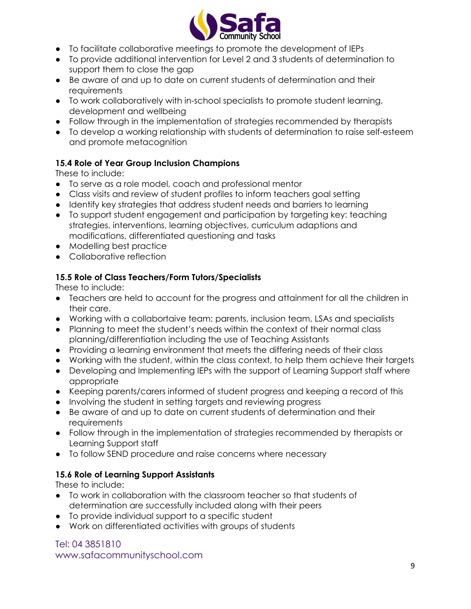

- To facilitate collaborative meetings to promote the development of IEPs
- To provide additional intervention for Level 2 and 3 students of determination to support them to close the gap
- Be aware of and up to date on current students of determination and their **requirements**
- To work collaboratively with in-school specialists to promote student learning, development and wellbeing
- Follow through in the implementation of strategies recommended by therapists
- To develop a working relationship with students of determination to raise self-esteem and promote metacognition

## **15.4 Role of Year Group Inclusion Champions**

These to include:

- To serve as a role model, coach and professional mentor
- Class visits and review of student profiles to inform teachers goal setting
- Identify key strategies that address student needs and barriers to learning
- To support student engagement and participation by targeting key: teaching strategies, interventions, learning objectives, curriculum adaptions and modifications, differentiated questioning and tasks
- Modelling best practice
- Collaborative reflection

## **15.5 Role of Class Teachers/Form Tutors/Specialists**

These to include:

- Teachers are held to account for the progress and attainment for all the children in their care.
- Working with a collabortaive team: parents, inclusion team, LSAs and specialists
- Planning to meet the student's needs within the context of their normal class planning/differentiation including the use of Teaching Assistants
- Providing a learning environment that meets the differing needs of their class
- Working with the student, within the class context, to help them achieve their targets
- Developing and Implementing IEPs with the support of Learning Support staff where appropriate
- Keeping parents/carers informed of student progress and keeping a record of this
- Involving the student in setting targets and reviewing progress
- Be aware of and up to date on current students of determination and their requirements
- Follow through in the implementation of strategies recommended by therapists or Learning Support staff
- To follow SEND procedure and raise concerns where necessary

## **15.6 Role of Learning Support Assistants**

These to include:

- To work in collaboration with the classroom teacher so that students of determination are successfully included along with their peers
- To provide individual support to a specific student
- Work on differentiated activities with groups of students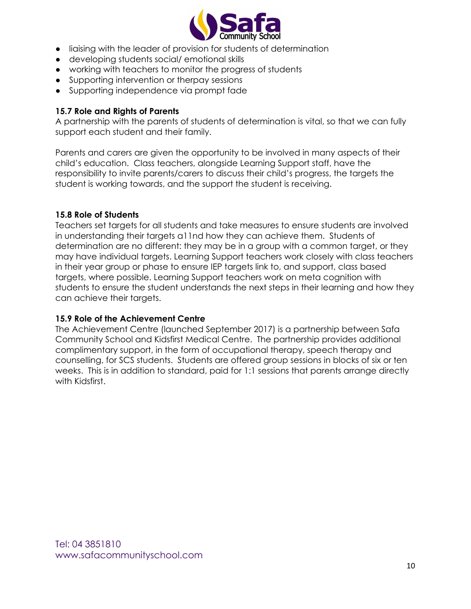

- liaising with the leader of provision for students of determination
- developing students social/ emotional skills
- working with teachers to monitor the progress of students
- Supporting intervention or therpay sessions
- Supporting independence via prompt fade

#### **15.7 Role and Rights of Parents**

A partnership with the parents of students of determination is vital, so that we can fully support each student and their family.

Parents and carers are given the opportunity to be involved in many aspects of their child's education. Class teachers, alongside Learning Support staff, have the responsibility to invite parents/carers to discuss their child's progress, the targets the student is working towards, and the support the student is receiving.

#### **15.8 Role of Students**

Teachers set targets for all students and take measures to ensure students are involved in understanding their targets a11nd how they can achieve them. Students of determination are no different: they may be in a group with a common target, or they may have individual targets. Learning Support teachers work closely with class teachers in their year group or phase to ensure IEP targets link to, and support, class based targets, where possible. Learning Support teachers work on meta cognition with students to ensure the student understands the next steps in their learning and how they can achieve their targets.

#### **15.9 Role of the Achievement Centre**

The Achievement Centre (launched September 2017) is a partnership between Safa Community School and Kidsfirst Medical Centre. The partnership provides additional complimentary support, in the form of occupational therapy, speech therapy and counselling, for SCS students. Students are offered group sessions in blocks of six or ten weeks. This is in addition to standard, paid for 1:1 sessions that parents arrange directly with Kidsfirst.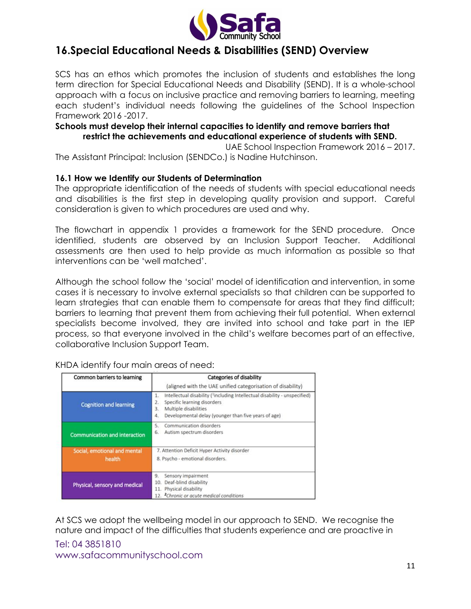

## **16.Special Educational Needs & Disabilities (SEND) Overview**

SCS has an ethos which promotes the inclusion of students and establishes the long term direction for Special Educational Needs and Disability (SEND). It is a whole-school approach with a focus on inclusive practice and removing barriers to learning, meeting each student's individual needs following the guidelines of the School Inspection Framework 2016 -2017.

#### **Schools must develop their internal capacities to identify and remove barriers that restrict the achievements and educational experience of students with SEND.**

UAE School Inspection Framework 2016 – 2017.

The Assistant Principal: Inclusion (SENDCo.) is Nadine Hutchinson.

#### **16.1 How we Identify our Students of Determination**

The appropriate identification of the needs of students with special educational needs and disabilities is the first step in developing quality provision and support. Careful consideration is given to which procedures are used and why.

The flowchart in appendix 1 provides a framework for the SEND procedure. Once identified, students are observed by an Inclusion Support Teacher. Additional assessments are then used to help provide as much information as possible so that interventions can be 'well matched'.

Although the school follow the 'social' model of identification and intervention, in some cases it is necessary to involve external specialists so that children can be supported to learn strategies that can enable them to compensate for areas that they find difficult; barriers to learning that prevent them from achieving their full potential. When external specialists become involved, they are invited into school and take part in the IEP process, so that everyone involved in the child's welfare becomes part of an effective, collaborative Inclusion Support Team.

| Common barriers to learning            | <b>Categories of disability</b>                                                                                                                                                                                                 |  |
|----------------------------------------|---------------------------------------------------------------------------------------------------------------------------------------------------------------------------------------------------------------------------------|--|
|                                        | (aligned with the UAE unified categorisation of disability)                                                                                                                                                                     |  |
| <b>Cognition and learning</b>          | Intellectual disability ( <sup>1</sup> including Intellectual disability - unspecified)<br>1.<br>Specific learning disorders<br>2.<br>Multiple disabilities<br>3.<br>Developmental delay (younger than five years of age)<br>4. |  |
| <b>Communication and interaction</b>   | Communication disorders<br>5.<br>Autism spectrum disorders<br>6.                                                                                                                                                                |  |
| Social, emotional and mental<br>health | 7. Attention Deficit Hyper Activity disorder<br>8. Psycho - emotional disorders.                                                                                                                                                |  |
| Physical, sensory and medical          | Sensory impairment<br>9.<br>Deaf-blind disability<br>10.<br>Physical disability<br>11.<br>12. <sup>2</sup> Chronic or acute medical conditions                                                                                  |  |

KHDA identify four main areas of need:

At SCS we adopt the wellbeing model in our approach to SEND. We recognise the nature and impact of the difficulties that students experience and are proactive in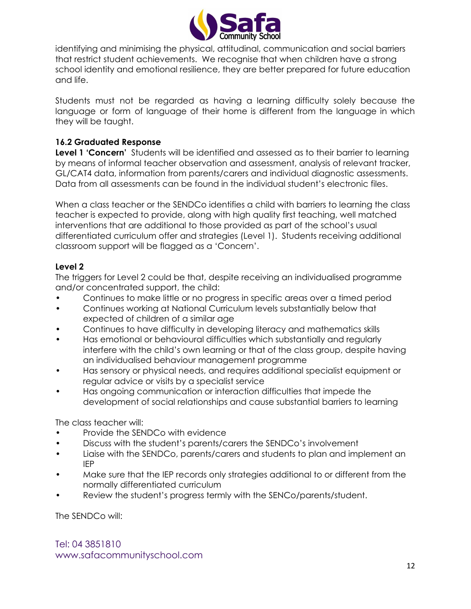

identifying and minimising the physical, attitudinal, communication and social barriers that restrict student achievements. We recognise that when children have a strong school identity and emotional resilience, they are better prepared for future education and life.

Students must not be regarded as having a learning difficulty solely because the language or form of language of their home is different from the language in which they will be taught.

#### **16.2 Graduated Response**

**Level 1 'Concern'** Students will be identified and assessed as to their barrier to learning by means of informal teacher observation and assessment, analysis of relevant tracker, GL/CAT4 data, information from parents/carers and individual diagnostic assessments. Data from all assessments can be found in the individual student's electronic files.

When a class teacher or the SENDCo identifies a child with barriers to learning the class teacher is expected to provide, along with high quality first teaching, well matched interventions that are additional to those provided as part of the school's usual differentiated curriculum offer and strategies (Level 1). Students receiving additional classroom support will be flagged as a 'Concern'.

#### **Level 2**

The triggers for Level 2 could be that, despite receiving an individualised programme and/or concentrated support, the child:

- Continues to make little or no progress in specific areas over a timed period
- Continues working at National Curriculum levels substantially below that expected of children of a similar age
- Continues to have difficulty in developing literacy and mathematics skills
- Has emotional or behavioural difficulties which substantially and regularly interfere with the child's own learning or that of the class group, despite having an individualised behaviour management programme
- Has sensory or physical needs, and requires additional specialist equipment or regular advice or visits by a specialist service
- Has ongoing communication or interaction difficulties that impede the development of social relationships and cause substantial barriers to learning

The class teacher will:

- Provide the SENDCo with evidence
- Discuss with the student's parents/carers the SENDCo's involvement
- Liaise with the SENDCo, parents/carers and students to plan and implement an IEP
- Make sure that the IEP records only strategies additional to or different from the normally differentiated curriculum
- Review the student's progress termly with the SENCo/parents/student.

The SENDCo will: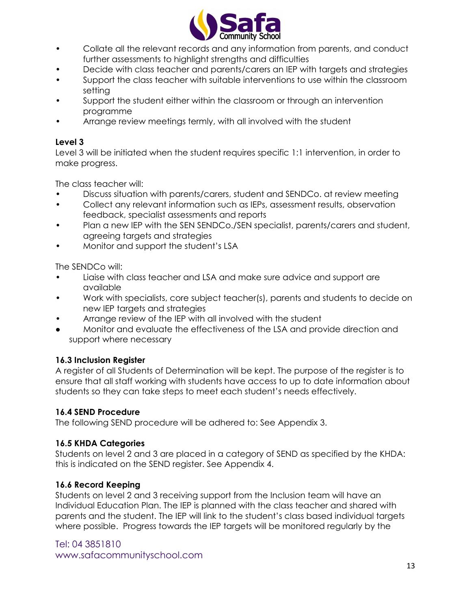

- Collate all the relevant records and any information from parents, and conduct further assessments to highlight strengths and difficulties
- Decide with class teacher and parents/carers an IEP with targets and strategies
- Support the class teacher with suitable interventions to use within the classroom setting
- Support the student either within the classroom or through an intervention programme
- Arrange review meetings termly, with all involved with the student

## **Level 3**

Level 3 will be initiated when the student requires specific 1:1 intervention, in order to make progress.

The class teacher will:

- Discuss situation with parents/carers, student and SENDCo. at review meeting
- Collect any relevant information such as IEPs, assessment results, observation feedback, specialist assessments and reports
- Plan a new IEP with the SEN SENDCo./SEN specialist, parents/carers and student, agreeing targets and strategies
- Monitor and support the student's LSA

The SENDCo will:

- Liaise with class teacher and LSA and make sure advice and support are available
- Work with specialists, core subject teacher(s), parents and students to decide on new IEP targets and strategies
- Arrange review of the IEP with all involved with the student
- Monitor and evaluate the effectiveness of the LSA and provide direction and support where necessary

## **16.3 Inclusion Register**

A register of all Students of Determination will be kept. The purpose of the register is to ensure that all staff working with students have access to up to date information about students so they can take steps to meet each student's needs effectively.

## **16.4 SEND Procedure**

The following SEND procedure will be adhered to: See Appendix 3.

## **16.5 KHDA Categories**

Students on level 2 and 3 are placed in a category of SEND as specified by the KHDA: this is indicated on the SEND register. See Appendix 4.

## **16.6 Record Keeping**

Students on level 2 and 3 receiving support from the Inclusion team will have an Individual Education Plan. The IEP is planned with the class teacher and shared with parents and the student. The IEP will link to the student's class based individual targets where possible. Progress towards the IEP targets will be monitored regularly by the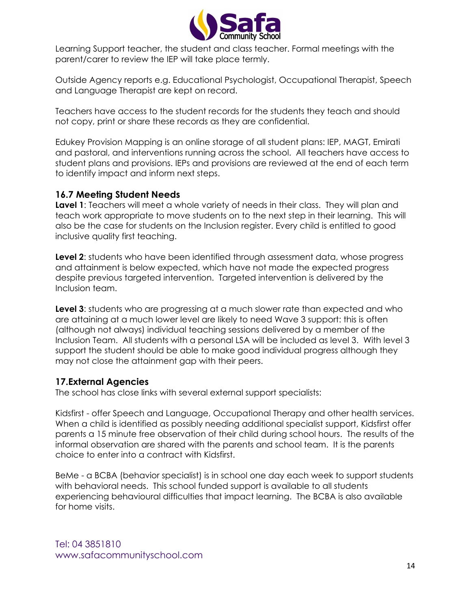

Learning Support teacher, the student and class teacher. Formal meetings with the parent/carer to review the IEP will take place termly.

Outside Agency reports e.g. Educational Psychologist, Occupational Therapist, Speech and Language Therapist are kept on record.

Teachers have access to the student records for the students they teach and should not copy, print or share these records as they are confidential.

Edukey Provision Mapping is an online storage of all student plans: IEP, MAGT, Emirati and pastoral, and interventions running across the school. All teachers have access to student plans and provisions. IEPs and provisions are reviewed at the end of each term to identify impact and inform next steps.

## **16.7 Meeting Student Needs**

**Lavel 1**: Teachers will meet a whole variety of needs in their class. They will plan and teach work appropriate to move students on to the next step in their learning. This will also be the case for students on the Inclusion register. Every child is entitled to good inclusive quality first teaching.

**Level 2**: students who have been identified through assessment data, whose progress and attainment is below expected, which have not made the expected progress despite previous targeted intervention. Targeted intervention is delivered by the Inclusion team.

**Level 3**: students who are progressing at a much slower rate than expected and who are attaining at a much lower level are likely to need Wave 3 support: this is often (although not always) individual teaching sessions delivered by a member of the Inclusion Team. All students with a personal LSA will be included as level 3. With level 3 support the student should be able to make good individual progress although they may not close the attainment gap with their peers.

## **17.External Agencies**

The school has close links with several external support specialists:

Kidsfirst - offer Speech and Language, Occupational Therapy and other health services. When a child is identified as possibly needing additional specialist support, Kidsfirst offer parents a 15 minute free observation of their child during school hours. The results of the informal observation are shared with the parents and school team. It is the parents choice to enter into a contract with Kidsfirst.

BeMe - a BCBA (behavior specialist) is in school one day each week to support students with behavioral needs. This school funded support is available to all students experiencing behavioural difficulties that impact learning. The BCBA is also available for home visits.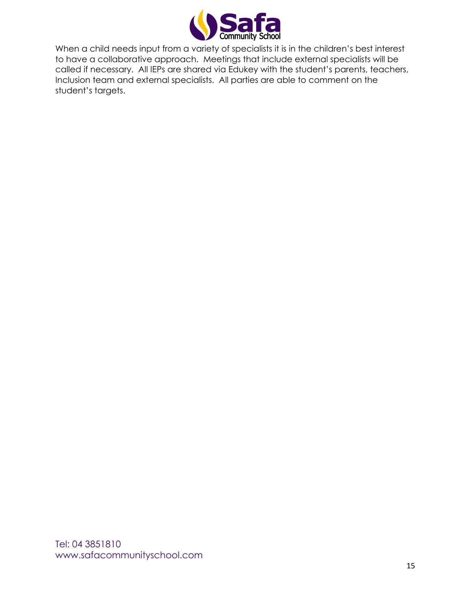

When a child needs input from a variety of specialists it is in the children's best interest to have a collaborative approach. Meetings that include external specialists will be called if necessary. All IEPs are shared via Edukey with the student's parents, teachers, Inclusion team and external specialists. All parties are able to comment on the student's targets.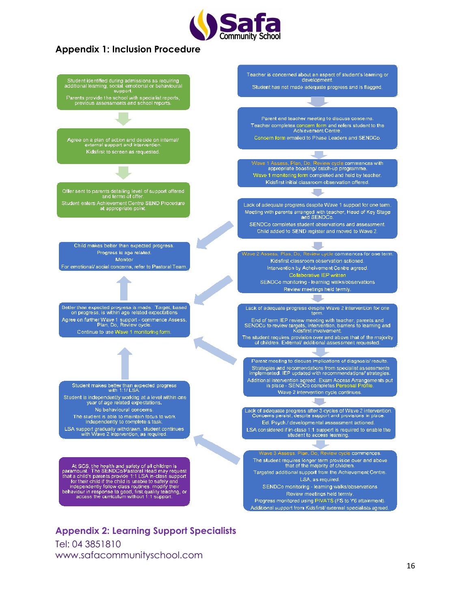

## **Appendix 1: Inclusion Procedure**



**Appendix 2: Learning Support Specialists** Tel: 04 3851810 www.safacommunityschool.com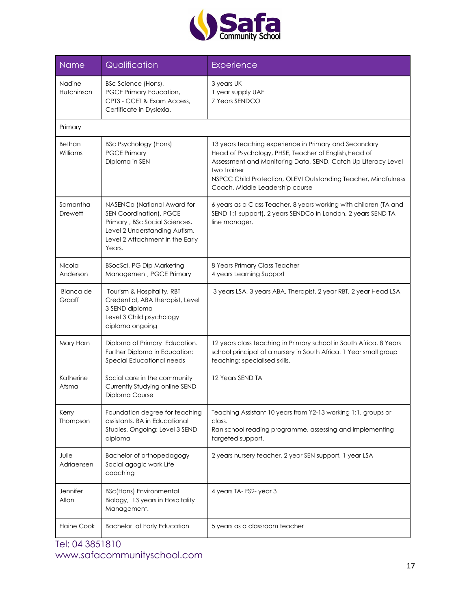

| <b>Name</b>                | Qualification                                                                                                                                                         | Experience                                                                                                                                                                                                                                                                                          |  |  |
|----------------------------|-----------------------------------------------------------------------------------------------------------------------------------------------------------------------|-----------------------------------------------------------------------------------------------------------------------------------------------------------------------------------------------------------------------------------------------------------------------------------------------------|--|--|
| Nadine<br>Hutchinson       | BSc Science (Hons),<br>PGCE Primary Education,<br>CPT3 - CCET & Exam Access,<br>Certificate in Dyslexia.                                                              | 3 years UK<br>1 year supply UAE<br>7 Years SENDCO                                                                                                                                                                                                                                                   |  |  |
| Primary                    |                                                                                                                                                                       |                                                                                                                                                                                                                                                                                                     |  |  |
| Bethan<br>Williams         | BSc Psychology (Hons)<br><b>PGCE Primary</b><br>Diploma in SEN                                                                                                        | 13 years teaching experience in Primary and Secondary<br>Head of Psychology, PHSE, Teacher of English, Head of<br>Assessment and Monitoring Data, SEND, Catch Up Literacy Level<br>two Trainer<br>NSPCC Child Protection, OLEVI Outstanding Teacher, Mindfulness<br>Coach, Middle Leadership course |  |  |
| Samantha<br><b>Drewett</b> | NASENCo (National Award for<br>SEN Coordination), PGCE<br>Primary, BSc Social Sciences,<br>Level 2 Understanding Autism,<br>Level 2 Attachment in the Early<br>Years. | 6 years as a Class Teacher, 8 years working with children (TA and<br>SEND 1:1 support), 2 years SENDCo in London, 2 years SEND TA<br>line manager.                                                                                                                                                  |  |  |
| Nicola<br>Anderson         | <b>BSocSci, PG Dip Marketing</b><br>Management, PGCE Primary                                                                                                          | 8 Years Primary Class Teacher<br>4 years Learning Support                                                                                                                                                                                                                                           |  |  |
| Bianca de<br>Graaff        | Tourism & Hospitality, RBT<br>Credential, ABA therapist, Level<br>3 SEND diploma<br>Level 3 Child psychology<br>diploma ongoing                                       | 3 years LSA, 3 years ABA, Therapist, 2 year RBT, 2 year Head LSA                                                                                                                                                                                                                                    |  |  |
| Mary Horn                  | Diploma of Primary Education.<br>Further Diploma in Education:<br>Special Educational needs                                                                           | 12 years class teaching in Primary school in South Africa. 8 Years<br>school principal of a nursery in South Africa. 1 Year small group<br>teaching: specialised skills.                                                                                                                            |  |  |
| Katherine<br>Atsma         | Social care in the community<br>Currently Studying online SEND<br>Diploma Course                                                                                      | 12 Years SEND TA                                                                                                                                                                                                                                                                                    |  |  |
| Kerry<br>Thompson          | Foundation degree for teaching<br>assistants. BA in Educational<br>Studies. Ongoing: Level 3 SEND<br>diploma                                                          | Teaching Assistant 10 years from Y2-13 working 1:1, groups or<br>class.<br>Ran school reading programme, assessing and implementing<br>targeted support.                                                                                                                                            |  |  |
| Julie<br>Adriaensen        | Bachelor of orthopedagogy<br>Social agogic work Life<br>coaching                                                                                                      | 2 years nursery teacher, 2 year SEN support, 1 year LSA                                                                                                                                                                                                                                             |  |  |
| Jennifer<br>Allan          | <b>BSc(Hons) Environmental</b><br>Biology, 13 years in Hospitality<br>Management.                                                                                     | 4 years TA-FS2-year 3                                                                                                                                                                                                                                                                               |  |  |
| <b>Elaine Cook</b>         | Bachelor of Early Education                                                                                                                                           | 5 years as a classroom teacher                                                                                                                                                                                                                                                                      |  |  |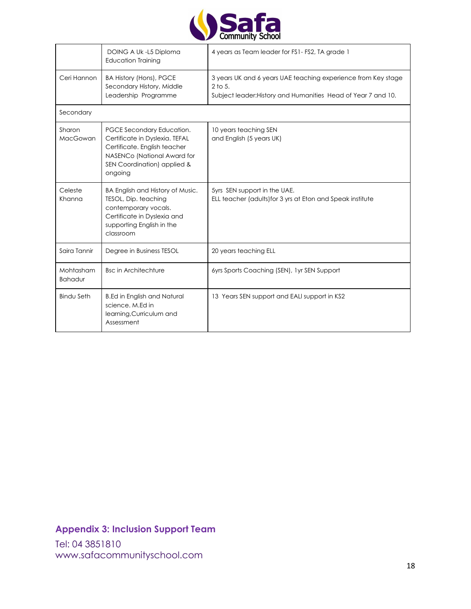

|                             | DOING A Uk -L5 Diploma<br><b>Education Training</b>                                                                                                                  | 4 years as Team leader for FS1 - FS2, TA grade 1                                                                                            |
|-----------------------------|----------------------------------------------------------------------------------------------------------------------------------------------------------------------|---------------------------------------------------------------------------------------------------------------------------------------------|
| Ceri Hannon                 | BA History (Hons), PGCE<br>Secondary History, Middle<br>Leadership Programme                                                                                         | 3 years UK and 6 years UAE teaching experience from Key stage<br>$2$ to 5.<br>Subject leader: History and Humanities Head of Year 7 and 10. |
| Secondary                   |                                                                                                                                                                      |                                                                                                                                             |
| Sharon<br>MacGowan          | PGCE Secondary Education.<br>Certificate in Dyslexia. TEFAL<br>Certificate. English teacher<br>NASENCo (National Award for<br>SEN Coordination) applied &<br>ongoing | 10 years teaching SEN<br>and English (5 years UK)                                                                                           |
| Celeste<br>Khanna           | BA English and History of Music.<br>TESOL, Dip. teaching<br>contemporary vocals.<br>Certificate in Dyslexia and<br>supporting English in the<br>classroom            | 5yrs SEN support in the UAE.<br>ELL teacher (adults) for 3 yrs at Eton and Speak institute                                                  |
| Saira Tannir                | Degree in Business TESOL                                                                                                                                             | 20 years teaching ELL                                                                                                                       |
| Mohtasham<br><b>Bahadur</b> | <b>Bsc in Architechture</b>                                                                                                                                          | 6yrs Sports Coaching (SEN), 1yr SEN Support                                                                                                 |
| <b>Bindu Seth</b>           | <b>B.Ed in English and Natural</b><br>science, M.Ed in<br>learning, Curriculum and<br>Assessment                                                                     | 13 Years SEN support and EALI support in KS2                                                                                                |

# **Appendix 3: Inclusion Support Team**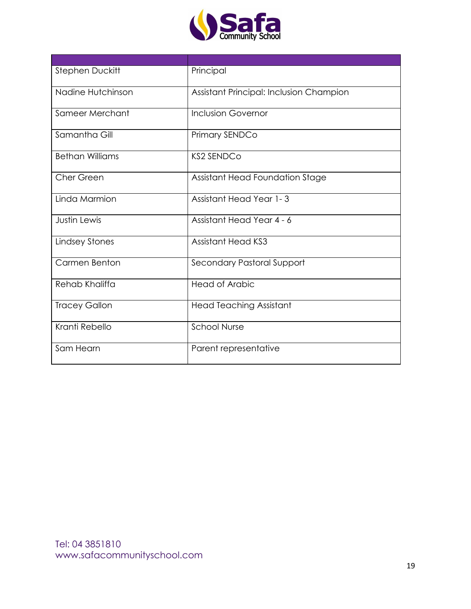

| Stephen Duckitt        | Principal                               |
|------------------------|-----------------------------------------|
| Nadine Hutchinson      | Assistant Principal: Inclusion Champion |
| Sameer Merchant        | <b>Inclusion Governor</b>               |
| Samantha Gill          | Primary SENDCo                          |
| <b>Bethan Williams</b> | <b>KS2 SENDCo</b>                       |
| Cher Green             | Assistant Head Foundation Stage         |
| Linda Marmion          | <b>Assistant Head Year 1-3</b>          |
| <b>Justin Lewis</b>    | Assistant Head Year 4 - 6               |
| <b>Lindsey Stones</b>  | <b>Assistant Head KS3</b>               |
| Carmen Benton          | Secondary Pastoral Support              |
| Rehab Khaliffa         | <b>Head of Arabic</b>                   |
| <b>Tracey Gallon</b>   | <b>Head Teaching Assistant</b>          |
| Kranti Rebello         | <b>School Nurse</b>                     |
| Sam Hearn              | Parent representative                   |